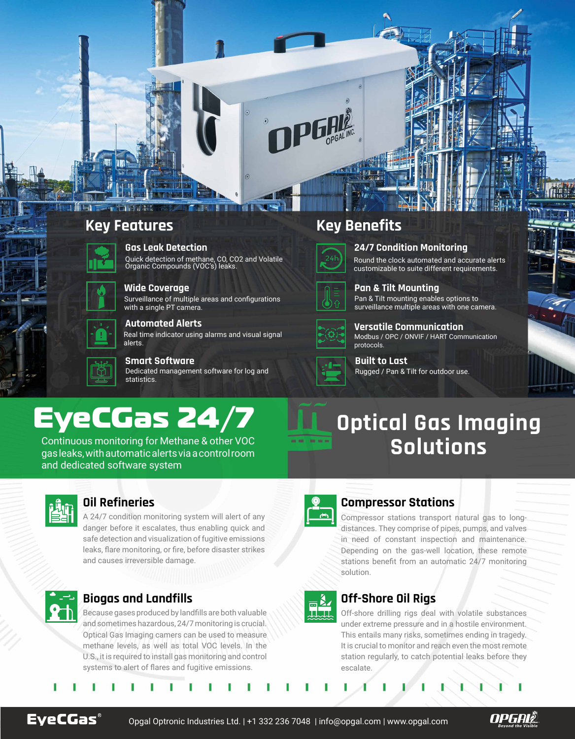# EyeCGas 24/7

Continuous monitoring for Methane & other VOC gas leaks, with automatic alerts via a control room and dedicated software system



# **Key Features Key Benefits**



### **Gas Leak Detection**

Quick detection of methane, CO, CO2 and Volatile Organic Compounds (VOC's) leaks.



### **Built to Last** Rugged / Pan & Tilt for outdoor use.

**Automated Alerts**

### **24/7 Condition Monitoring**

Round the clock automated and accurate alerts customizable to suite different requirements.



### **Pan & Tilt Mounting**

Pan & Tilt mounting enables options to surveillance multiple areas with one camera.



### **Versatile Communication** Modbus / OPC / ONVIF / HART Communication

protocols.

### **Smart Software** Dedicated management software for log and statistics.



### **Wide Coverage**

Surveillance of multiple areas and configurations with a single PT camera.



Real time indicator using alarms and visual signal alerts.

### **Biogas and Landfills**

Compressor stations transport natural gas to longdistances. They comprise of pipes, pumps, and valves in need of constant inspection and maintenance. Depending on the gas-well location, these remote stations benefit from an automatic 24/7 monitoring solution.



Because gases produced by landfills are both valuable and sometimes hazardous, 24/7 monitoring is crucial. Optical Gas Imaging camers can be used to measure methane levels, as well as total VOC levels. In the U.S., it is required to install gas monitoring and control systems to alert of flares and fugitive emissions.

## **Off-Shore Oil Rigs**

Off-shore drilling rigs deal with volatile substances under extreme pressure and in a hostile environment. This entails many risks, sometimes ending in tragedy. It is crucial to monitor and reach even the most remote station regularly, to catch potential leaks before they escalate.



A 24/7 condition monitoring system will alert of any danger before it escalates, thus enabling quick and safe detection and visualization of fugitive emissions leaks, flare monitoring, or fire, before disaster strikes and causes irreversible damage.



面入

 $\sim$ 

## **Oil Refineries Compressor Stations**

# **Optical Gas Imaging Solutions**



Opgal Optronic Industries Ltd. | +1 332 236 7048 | info@opgal.com | www.opgal.com